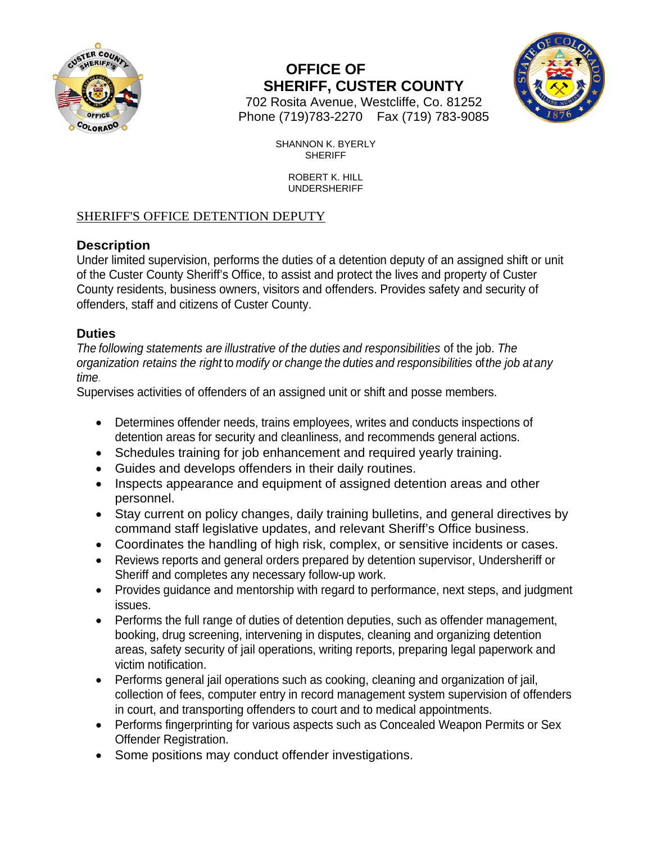



702 Rosita Avenue, Westcliffe, Co. 81252 Phone (719)783-2270 Fax (719) 783-9085

> SHANNON K. BYERLY SHERIFF

> > ROBERT K. HILL UNDERSHERIFF

### SHERIFF'S OFFICE DETENTION DEPUTY

#### **Description**

Under limited supervision, performs the duties of a detention deputy of an assigned shift or unit of the Custer County Sheriff's Office, to assist and protect the lives and property of Custer County residents, business owners, visitors and offenders. Provides safety and security of offenders, staff and citizens of Custer County.

#### **Duties**

*The following statements are illustrative of the duties and responsibilities* of the job. *The organization retains the right* to *modify or change the duties and responsibilities* of*the job at any time.*

Supervises activities of offenders of an assigned unit or shift and posse members.

- Determines offender needs, trains employees, writes and conducts inspections of detention areas for security and cleanliness, and recommends general actions.
- Schedules training for job enhancement and required yearly training.
- Guides and develops offenders in their daily routines.
- Inspects appearance and equipment of assigned detention areas and other personnel.
- Stay current on policy changes, daily training bulletins, and general directives by command staff legislative updates, and relevant Sheriff's Office business.
- Coordinates the handling of high risk, complex, or sensitive incidents or cases.
- Reviews reports and general orders prepared by detention supervisor, Undersheriff or Sheriff and completes any necessary follow-up work.
- Provides guidance and mentorship with regard to performance, next steps, and judgment issues.
- Performs the full range of duties of detention deputies, such as offender management, booking, drug screening, intervening in disputes, cleaning and organizing detention areas, safety security of jail operations, writing reports, preparing legal paperwork and victim notification.
- Performs general jail operations such as cooking, cleaning and organization of jail, collection of fees, computer entry in record management system supervision of offenders in court, and transporting offenders to court and to medical appointments.
- Performs fingerprinting for various aspects such as Concealed Weapon Permits or Sex Offender Registration.
- Some positions may conduct offender investigations.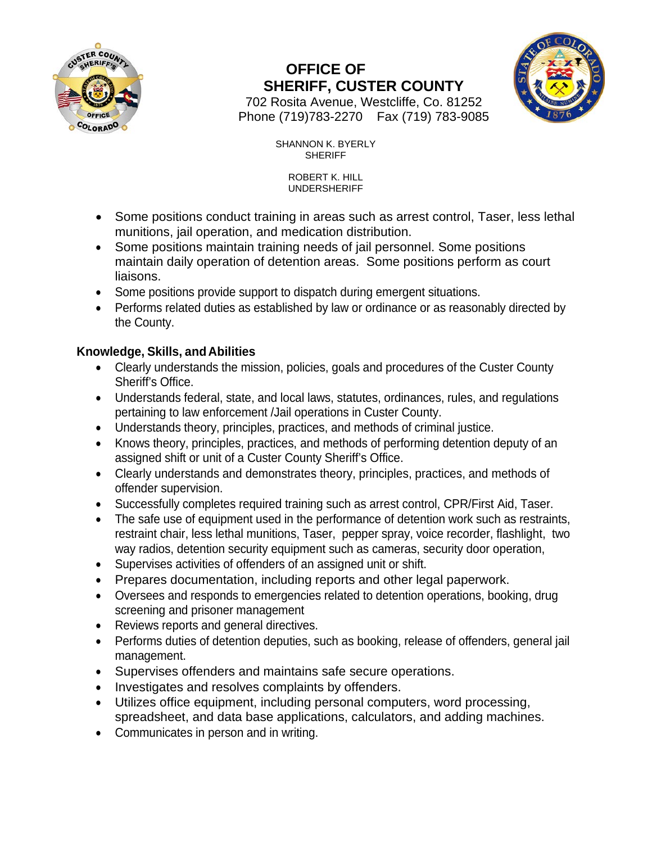



702 Rosita Avenue, Westcliffe, Co. 81252 Phone (719)783-2270 Fax (719) 783-9085

> SHANNON K. BYERLY SHERIFF

> > ROBERT K. HILL UNDERSHERIFF

- Some positions conduct training in areas such as arrest control, Taser, less lethal munitions, jail operation, and medication distribution.
- Some positions maintain training needs of jail personnel. Some positions maintain daily operation of detention areas. Some positions perform as court liaisons.
- Some positions provide support to dispatch during emergent situations.
- Performs related duties as established by law or ordinance or as reasonably directed by the County.

#### **Knowledge, Skills, and Abilities**

- Clearly understands the mission, policies, goals and procedures of the Custer County Sheriff's Office.
- Understands federal, state, and local laws, statutes, ordinances, rules, and regulations pertaining to law enforcement /Jail operations in Custer County.
- Understands theory, principles, practices, and methods of criminal justice.
- Knows theory, principles, practices, and methods of performing detention deputy of an assigned shift or unit of a Custer County Sheriff's Office.
- Clearly understands and demonstrates theory, principles, practices, and methods of offender supervision.
- Successfully completes required training such as arrest control, CPR/First Aid, Taser.
- The safe use of equipment used in the performance of detention work such as restraints, restraint chair, less lethal munitions, Taser, pepper spray, voice recorder, flashlight, two way radios, detention security equipment such as cameras, security door operation,
- Supervises activities of offenders of an assigned unit or shift.
- Prepares documentation, including reports and other legal paperwork.
- Oversees and responds to emergencies related to detention operations, booking, drug screening and prisoner management
- Reviews reports and general directives.
- Performs duties of detention deputies, such as booking, release of offenders, general jail management.
- Supervises offenders and maintains safe secure operations.
- Investigates and resolves complaints by offenders.
- Utilizes office equipment, including personal computers, word processing, spreadsheet, and data base applications, calculators, and adding machines.
- Communicates in person and in writing.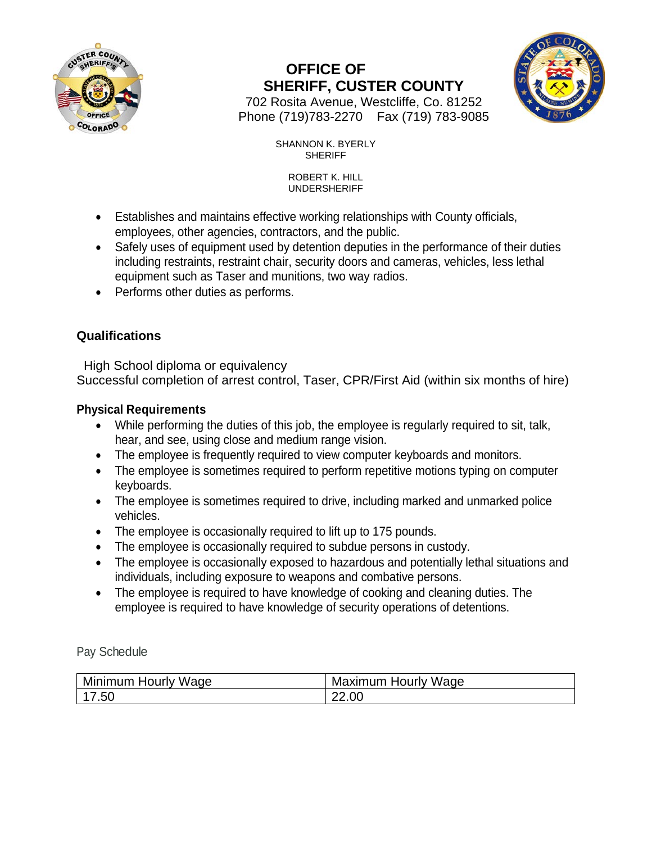



702 Rosita Avenue, Westcliffe, Co. 81252 Phone (719)783-2270 Fax (719) 783-9085

> SHANNON K. BYERLY SHERIFF

> > ROBERT K. HILL UNDERSHERIFF

- Establishes and maintains effective working relationships with County officials, employees, other agencies, contractors, and the public.
- Safely uses of equipment used by detention deputies in the performance of their duties including restraints, restraint chair, security doors and cameras, vehicles, less lethal equipment such as Taser and munitions, two way radios.
- Performs other duties as performs.

### **Qualifications**

 High School diploma or equivalency Successful completion of arrest control, Taser, CPR/First Aid (within six months of hire)

#### **Physical Requirements**

- While performing the duties of this job, the employee is regularly required to sit, talk, hear, and see, using close and medium range vision.
- The employee is frequently required to view computer keyboards and monitors.
- The employee is sometimes required to perform repetitive motions typing on computer keyboards.
- The employee is sometimes required to drive, including marked and unmarked police vehicles.
- The employee is occasionally required to lift up to 175 pounds.
- The employee is occasionally required to subdue persons in custody.
- The employee is occasionally exposed to hazardous and potentially lethal situations and individuals, including exposure to weapons and combative persons.
- The employee is required to have knowledge of cooking and cleaning duties. The employee is required to have knowledge of security operations of detentions.

Pay Schedule

| Minimum Hourly '<br>Wage | Wage<br>Maximum<br>. Hourly |
|--------------------------|-----------------------------|
| .5U                      | 22.00                       |